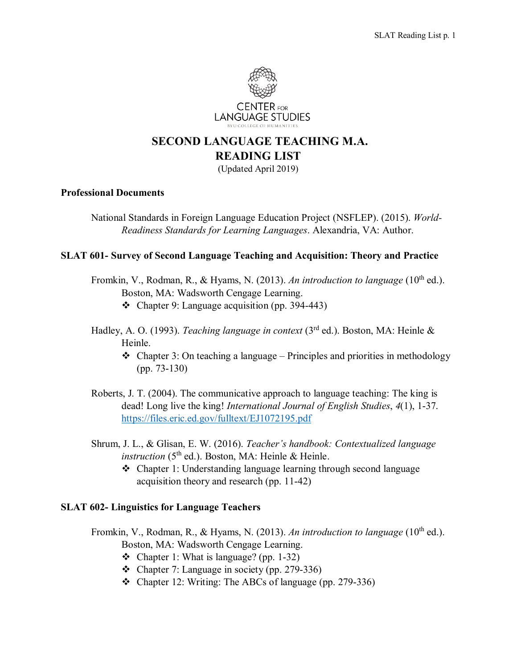

# **SECOND LANGUAGE TEACHING M.A. READING LIST**

(Updated April 2019)

#### **Professional Documents**

National Standards in Foreign Language Education Project (NSFLEP). (2015). *World-Readiness Standards for Learning Languages*. Alexandria, VA: Author.

## **SLAT 601- Survey of Second Language Teaching and Acquisition: Theory and Practice**

- Fromkin, V., Rodman, R., & Hyams, N. (2013). An introduction to language (10<sup>th</sup> ed.). Boston, MA: Wadsworth Cengage Learning.
	- Chapter 9: Language acquisition (pp. 394-443)
- Hadley, A. O. (1993). *Teaching language in context* (3rd ed.). Boston, MA: Heinle & Heinle.
	- $\triangleleft$  Chapter 3: On teaching a language Principles and priorities in methodology (pp. 73-130)
- Roberts, J. T. (2004). The communicative approach to language teaching: The king is dead! Long live the king! *International Journal of English Studies*, *4*(1), 1-37. <https://files.eric.ed.gov/fulltext/EJ1072195.pdf>
- Shrum, J. L., & Glisan, E. W. (2016). *Teacher's handbook: Contextualized language instruction* (5<sup>th</sup> ed.). Boston, MA: Heinle & Heinle.
	- Chapter 1: Understanding language learning through second language acquisition theory and research (pp. 11-42)

## **SLAT 602- Linguistics for Language Teachers**

- Fromkin, V., Rodman, R., & Hyams, N. (2013). An introduction to language (10<sup>th</sup> ed.). Boston, MA: Wadsworth Cengage Learning.
	- Chapter 1: What is language? (pp. 1-32)
	- Chapter 7: Language in society (pp. 279-336)
	- Chapter 12: Writing: The ABCs of language (pp. 279-336)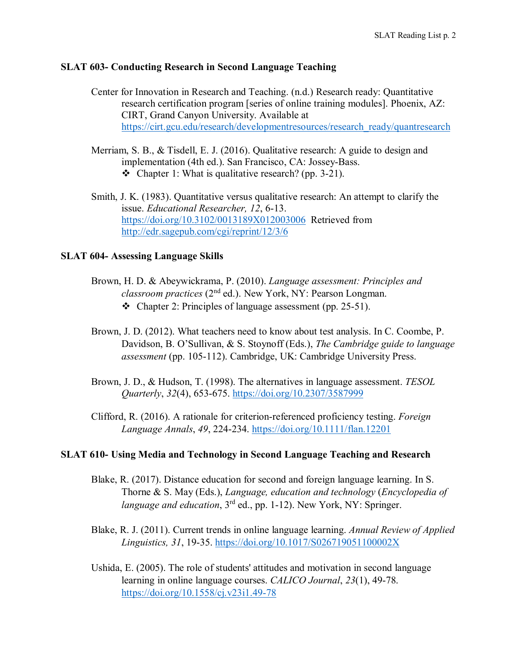## **SLAT 603- Conducting Research in Second Language Teaching**

| Center for Innovation in Research and Teaching. (n.d.) Research ready: Quantitative |
|-------------------------------------------------------------------------------------|
| research certification program [series of online training modules]. Phoenix, AZ:    |
| CIRT, Grand Canyon University. Available at                                         |
| https://cirt.gcu.edu/research/developmentresources/research ready/quantresearch     |

- Merriam, S. B., & Tisdell, E. J. (2016). Qualitative research: A guide to design and implementation (4th ed.). San Francisco, CA: Jossey-Bass. • Chapter 1: What is qualitative research? (pp. 3-21).
- Smith, J. K. (1983). Quantitative versus qualitative research: An attempt to clarify the issue. *Educational Researcher, 12*, 6-13. <https://doi.org/10.3102/0013189X012003006> Retrieved from <http://edr.sagepub.com/cgi/reprint/12/3/6>

## **SLAT 604- Assessing Language Skills**

- Brown, H. D. & Abeywickrama, P. (2010). *Language assessment: Principles and classroom practices* (2nd ed.). New York, NY: Pearson Longman.  $\div$  Chapter 2: Principles of language assessment (pp. 25-51).
- Brown, J. D. (2012). What teachers need to know about test analysis. In C. Coombe, P. Davidson, B. O'Sullivan, & S. Stoynoff (Eds.), *The Cambridge guide to language assessment* (pp. 105-112). Cambridge, UK: Cambridge University Press.
- Brown, J. D., & Hudson, T. (1998). The alternatives in language assessment. *TESOL Quarterly*, *32*(4), 653-675. <https://doi.org/10.2307/3587999>
- Clifford, R. (2016). A rationale for criterion-referenced proficiency testing. *Foreign Language Annals*, *49*, 224-234. <https://doi.org/10.1111/flan.12201>

# **SLAT 610- Using Media and Technology in Second Language Teaching and Research**

- Blake, R. (2017). Distance education for second and foreign language learning. In S. Thorne & S. May (Eds.), *Language, education and technology* (*Encyclopedia of language and education*, 3<sup>rd</sup> ed., pp. 1-12). New York, NY: Springer.
- Blake, R. J. (2011). Current trends in online language learning. *Annual Review of Applied Linguistics, 31*, 19-35. <https://doi.org/10.1017/S026719051100002X>
- Ushida, E. (2005). The role of students' attitudes and motivation in second language learning in online language courses. *CALICO Journal*, *23*(1), 49-78. <https://doi.org/10.1558/cj.v23i1.49-78>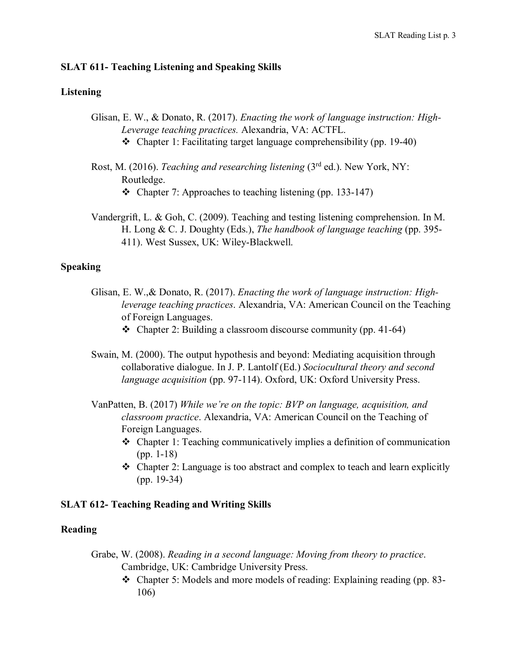#### **SLAT 611- Teaching Listening and Speaking Skills**

#### **Listening**

- Glisan, E. W., & Donato, R. (2017). *Enacting the work of language instruction: High-Leverage teaching practices.* Alexandria, VA: ACTFL.
	- $\div$  Chapter 1: Facilitating target language comprehensibility (pp. 19-40)
- Rost, M. (2016). *Teaching and researching listening* (3rd ed.). New York, NY: Routledge. • Chapter 7: Approaches to teaching listening (pp. 133-147)
- Vandergrift, L. & Goh, C. (2009). Teaching and testing listening comprehension. In M. H. Long & C. J. Doughty (Eds.), *The handbook of language teaching* (pp. 395- 411). West Sussex, UK: Wiley-Blackwell.

#### **Speaking**

- Glisan, E. W.,& Donato, R. (2017). *Enacting the work of language instruction: Highleverage teaching practices*. Alexandria, VA: American Council on the Teaching of Foreign Languages.
	- $\triangleleft$  Chapter 2: Building a classroom discourse community (pp. 41-64)
- Swain, M. (2000). The output hypothesis and beyond: Mediating acquisition through collaborative dialogue. In J. P. Lantolf (Ed.) *Sociocultural theory and second language acquisition* (pp. 97-114). Oxford, UK: Oxford University Press.
- VanPatten, B. (2017) *While we're on the topic: BVP on language, acquisition, and classroom practice*. Alexandria, VA: American Council on the Teaching of Foreign Languages.
	- Chapter 1: Teaching communicatively implies a definition of communication (pp. 1-18)
	- $\triangle$  Chapter 2: Language is too abstract and complex to teach and learn explicitly (pp. 19-34)

## **SLAT 612- Teaching Reading and Writing Skills**

#### **Reading**

- Grabe, W. (2008). *Reading in a second language: Moving from theory to practice*. Cambridge, UK: Cambridge University Press.
	- Chapter 5: Models and more models of reading: Explaining reading (pp. 83- 106)